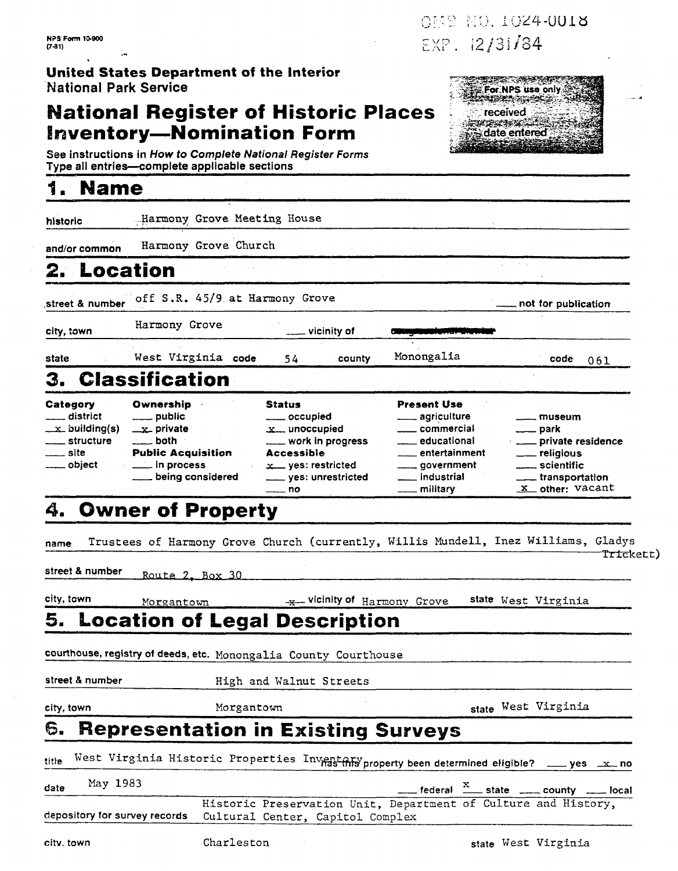## **United States Department of the interior National Park Service**

## **National Register of Historic Places Inventory-Nomination Form**

## *8.* **Name**

| <b>NPS Form 10-900</b>                                                                                                 |                                                                                                                                                                                                 |                                                                                                                                                    |                                                                                                                                              | OMS NO. 1024-0018                                                                                                   |
|------------------------------------------------------------------------------------------------------------------------|-------------------------------------------------------------------------------------------------------------------------------------------------------------------------------------------------|----------------------------------------------------------------------------------------------------------------------------------------------------|----------------------------------------------------------------------------------------------------------------------------------------------|---------------------------------------------------------------------------------------------------------------------|
| $(7-31)$<br><b>National Park Service</b>                                                                               | <b>United States Department of the Interior</b>                                                                                                                                                 |                                                                                                                                                    | EXP. 12/31/84                                                                                                                                | For NPS use only                                                                                                    |
|                                                                                                                        | <b>National Register of Historic Places</b><br><b>Inventory-Nomination Form</b><br>See instructions in How to Complete National Register Forms<br>Type all entries-complete applicable sections |                                                                                                                                                    |                                                                                                                                              | received<br>date entered                                                                                            |
| <b>Name</b>                                                                                                            |                                                                                                                                                                                                 |                                                                                                                                                    |                                                                                                                                              |                                                                                                                     |
| historic                                                                                                               | Harmony Grove Meeting House                                                                                                                                                                     |                                                                                                                                                    |                                                                                                                                              |                                                                                                                     |
| and/or common                                                                                                          | Harmony Grove Church                                                                                                                                                                            |                                                                                                                                                    |                                                                                                                                              |                                                                                                                     |
|                                                                                                                        | Location                                                                                                                                                                                        |                                                                                                                                                    |                                                                                                                                              |                                                                                                                     |
| street & number                                                                                                        | off S.R. 45/9 at Harmony Grove                                                                                                                                                                  |                                                                                                                                                    |                                                                                                                                              | not for publication                                                                                                 |
| city, town                                                                                                             | Harmony Grove                                                                                                                                                                                   | vicinity of                                                                                                                                        |                                                                                                                                              |                                                                                                                     |
| state                                                                                                                  | West Virginia code                                                                                                                                                                              | 54<br>county                                                                                                                                       | Monongalia                                                                                                                                   | code                                                                                                                |
| 3.                                                                                                                     | <b>Classification</b>                                                                                                                                                                           |                                                                                                                                                    |                                                                                                                                              | 061                                                                                                                 |
| Category<br>district<br>$\pm x$ building(s) $\pm$<br><u>__</u> __ structure<br>$\rule{1em}{0.15mm}$ site<br>___ object | Ownership<br>___ public<br>$\equiv$ private<br>$\equiv$ both<br><b>Public Acquisition</b><br><u>_</u> __ in process<br>being considered                                                         | <b>Status</b><br>____ occupied<br>$x_{-}$ unoccupied<br>___ work in progress<br>Accessible<br>$x$ yes: restricted<br>_____ yes: unrestricted<br>no | <b>Present Use</b><br><u>_</u> ___ agriculture<br>___ commercial<br>educational<br>entertainment<br>_ government<br>. industrial<br>military | museum<br>—— park<br>___ private residence<br>___ religious<br>_ scientific<br>__ transportation<br>X other: Vacant |
| 4.                                                                                                                     | <b>Owner of Property</b>                                                                                                                                                                        |                                                                                                                                                    |                                                                                                                                              |                                                                                                                     |
| name                                                                                                                   | Trustees of Harmony Grove Church (currently, Willis Mundell, Inez Williams, Gladys                                                                                                              |                                                                                                                                                    |                                                                                                                                              | <del>Tric</del> kett)                                                                                               |
| street & number                                                                                                        | Route 2, Box 30                                                                                                                                                                                 |                                                                                                                                                    |                                                                                                                                              |                                                                                                                     |
| city, town                                                                                                             | Morgantown                                                                                                                                                                                      | wicinity of Harmony Grove                                                                                                                          |                                                                                                                                              | state West Virginia                                                                                                 |
| 5.                                                                                                                     | <b>Location of Legal Description</b>                                                                                                                                                            |                                                                                                                                                    |                                                                                                                                              |                                                                                                                     |
|                                                                                                                        | courthouse, registry of deeds, etc. Monongalia County Courthouse                                                                                                                                |                                                                                                                                                    |                                                                                                                                              |                                                                                                                     |
| street & number                                                                                                        |                                                                                                                                                                                                 | High and Walnut Streets                                                                                                                            |                                                                                                                                              |                                                                                                                     |
| city, town                                                                                                             | Morgantown                                                                                                                                                                                      |                                                                                                                                                    |                                                                                                                                              | state West Virginia                                                                                                 |
| 6.                                                                                                                     | <b>Representation in Existing Surveys</b>                                                                                                                                                       |                                                                                                                                                    |                                                                                                                                              |                                                                                                                     |
|                                                                                                                        | West Virginia Historic Properties Inventary property been determined eligible? __ yes _x_no                                                                                                     |                                                                                                                                                    |                                                                                                                                              |                                                                                                                     |
|                                                                                                                        |                                                                                                                                                                                                 |                                                                                                                                                    |                                                                                                                                              |                                                                                                                     |
| May 1983                                                                                                               |                                                                                                                                                                                                 |                                                                                                                                                    |                                                                                                                                              |                                                                                                                     |
| title<br>date                                                                                                          |                                                                                                                                                                                                 | Historic Preservation Unit, Department of Culture and History,                                                                                     |                                                                                                                                              |                                                                                                                     |
| depository for survey records<br>city. town                                                                            | Charleston                                                                                                                                                                                      | Cultural Center, Capitol Complex                                                                                                                   |                                                                                                                                              | $\frac{X}{1}$ federal $\frac{X}{1}$ state $\frac{X}{1}$ county $\frac{X}{1}$ local<br>state West Virginia           |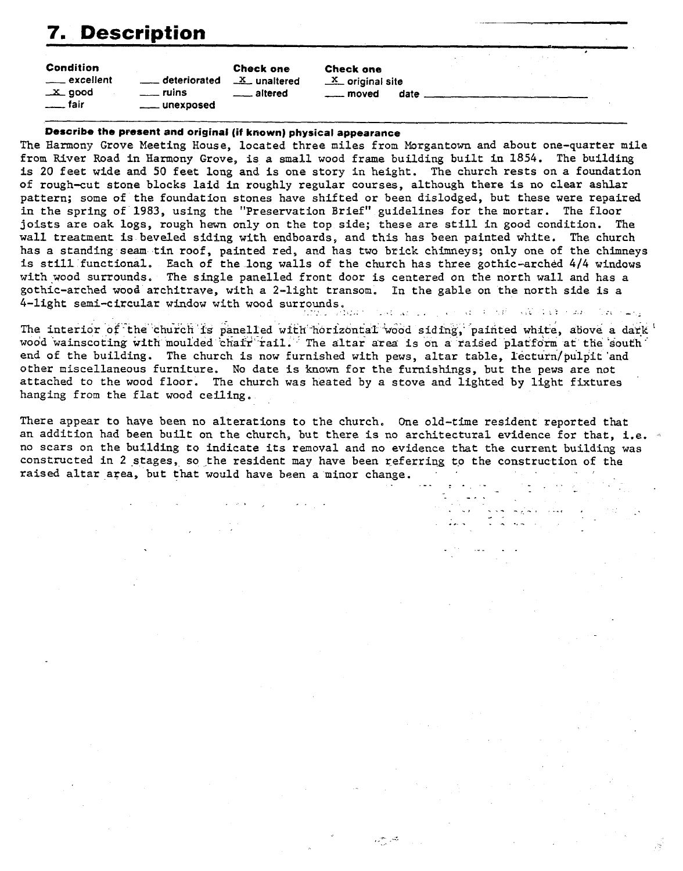# **Description** -

| <b>7. Description</b>                                                      |                                                                                                                                                                                                                                      |                                              |                                                                       |  |  |  |
|----------------------------------------------------------------------------|--------------------------------------------------------------------------------------------------------------------------------------------------------------------------------------------------------------------------------------|----------------------------------------------|-----------------------------------------------------------------------|--|--|--|
| <b>Condition</b><br>_____ excellent<br>$\_x$ good<br><sub>-----</sub> fair | deteriorated<br>ruins<br>unexposed                                                                                                                                                                                                   | <b>Check one</b><br>$X$ unaltered<br>altered | <b>Check one</b><br>$X$ original site<br><sub>---</sub> moved<br>date |  |  |  |
|                                                                            | <b>Plannoise the monocot and estated (R to contract and all contract of the contract of the contract of the contract of the contract of the contract of the contract of the contract of the contract of the contract of the cont</b> |                                              |                                                                       |  |  |  |

### **Describe the present and original (if known) physical appearance**

The Harmony Grove Meeting House, located three miles from Morgantown and about one-quarter mile from River Road in Harmony Grove, is a small wood frame building built in 1854. The building is 20 feet wide and **SO** feet long and is one story in height. The church rests on a foundation of rough-cut stone blocks laid in roughly regular courses, although there is no clear ashlar pattern; some of the foundation stones have shifted or been dislodged, but these were repaired in the spring of 1983, using the "Preservation Brief" guidelines for the mortar. The floor joists **are** oak logs, rough hewn only on the top side; these are still in good condition. The wall treatment is beveled siding with endboards, and this has been painted white. The church has a standing seam tin roof, painted red, and has two brick chimneys; only one of the chimneys is still functional. Each of the long walls of the church has three gothic-arched 4/4 windows with wood surrounds. The single panelled front door is centered on the north wall and has a gothic-arched wood architrave, with a 2-light transom. In the gable on the north side is a 4-light semi-circular window with wood surrounds, . . :<. \_. **I** . . . . . **-i** .. -

The interior of the church is panelled with horizontal wood siding, painted white, above a dark ' wood wainscoting with moulded chair rail. The altar area is on a raised platform at the south end of the building. The church is now furnished with pews, altar table, lecturn/pulpit 'and other miscellaneous furniture. No date is known for the furnishings, but the pews are not attached to the wood floor. The church was heated by a stove and lighted by light fixtures hanging from the flat wood ceiling.

There appear to have been no alterations to the church. One old-time resident reported that an addition had been built on the church, but there is no architectural evidence for that, i.e. . constructed in 2 stages, so the resident may have been referring to the construction of the raised altar area, but that would have been a minor change.

يحتار البحرير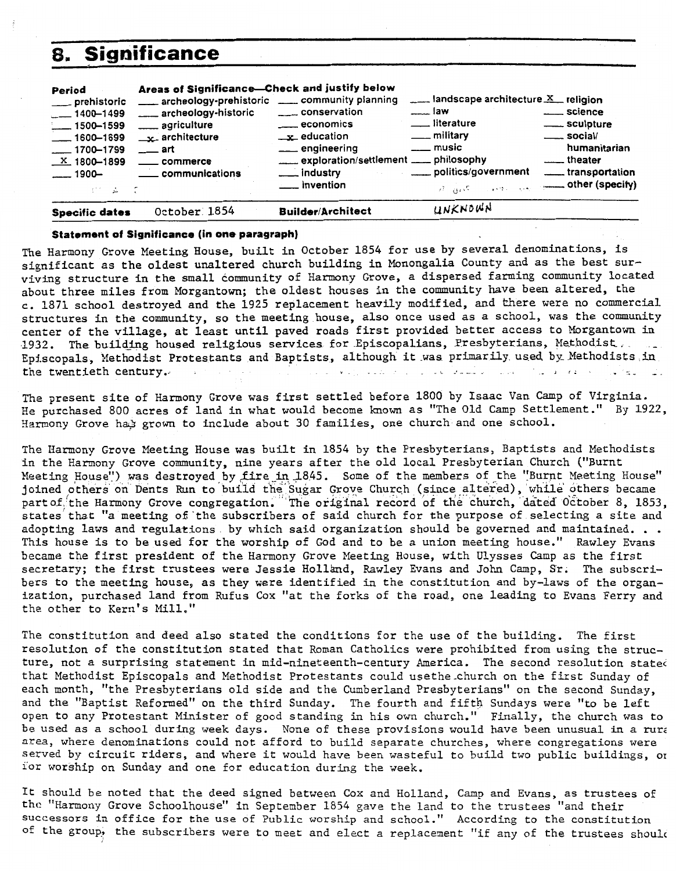| 8.                                                                                                                                                  | <b>Significance</b>                                                                                                                                                                                                              |                                                                                                                                                          |                                                                                                                                                                                   |                                                                                                                                  |
|-----------------------------------------------------------------------------------------------------------------------------------------------------|----------------------------------------------------------------------------------------------------------------------------------------------------------------------------------------------------------------------------------|----------------------------------------------------------------------------------------------------------------------------------------------------------|-----------------------------------------------------------------------------------------------------------------------------------------------------------------------------------|----------------------------------------------------------------------------------------------------------------------------------|
| Period<br>__ prehistoric<br>$-1400 - 1499$<br>$-1500 - 1599$<br>$-1600 - 1699$<br>$-1700 - 1799$<br>$\underline{X}$ 1800-1899<br>$-1900-$<br>ピー 古って | Areas of Significance-Check and justify below<br>archeology-prehistoric ____ community planning<br>___ archeology-historic<br>_____ agriculture<br>$\mathbf{r}$ architecture<br>$\equiv$ art<br>_____ commerce<br>communications | conservation<br>economics<br>$\mathbf{r}$ education<br>___ engineering<br>exploration/settlement ___ philosophy<br>___ industry<br><u>_</u> __ invention | $\frac{1}{2}$ landscape architecture $\frac{X}{X}$ religion<br>$\frac{1}{2}$ law<br>__ literature<br>$\equiv$ military<br>$\rule{1em}{0.15mm} \dots$ music<br>politics/government | ____ science<br>____ sculpture<br>$\equiv$ social/<br>humanitarian<br><u>essent</u> theater<br>transportation<br>other (specify) |
| <b>Specific dates</b>                                                                                                                               | October 1854                                                                                                                                                                                                                     | <b>Builder/Architect</b>                                                                                                                                 | UNKNOWN                                                                                                                                                                           |                                                                                                                                  |

### **Statement of Significance (in one paragraph)**

The Harmony Grove Meeting House, built in October 1854 for use by several denominations, is significant as the oldest unaltered church building in Monongalia County and as the best surviving structure in the small community of Harmony Grove, a dispersed farming community located about three miles from Morgantown; the oldest houses in the community have been altered, the c. 1871 school destroyed and the 1925 replacement heavily modified, and there were no commercial structures in the community, so the meeting house, also once used as a school, was the community center of the village, at least until paved roads first provided better access to Morgantown in 1932. The building housed religious services for Episcopalians, Presbyterians, Methodist. Episcopals, Methodist Protestants and Baptists, although it was primarily used by Methodists in the twentieth century.

**The** present site of Harmony Grove was first settled before 1800 by Isaac Van Camp of Virginia. He purchased 800 acres of land in what would become known as "The Old Camp Settlement." By 1922, Harmony Grove had grown to include about 30 families, one church and one school.

The Harmony Grove Meeting House was built in 1854 by the Presbyterians, Baptists and Methodists in the Harmony Grove community, nine years after the old local Presbyterian Church ("Burnt Meeting House") was destroyed by fire in 1845. Some of the members of the "Burnt Meeting House" joined others on Dents Run to build the Sugar Grove Church (since altered), while others became<br>partof, the Harmony Grove congregation. The original record of the church, dated 0ctober 8, 1853, part of the Harmony Grove congregation. The original record of the church, dated October 8, 1853,<br>states that "a meeting of the subscribers of said church for the purpose of selecting a site and adopting laws and regulations by which said organization should be governed and maintained. . .<br>This house is to be used for the worship of God and to be a union meeting house." Rawley Evans became the first president of the Harmony Grove Meeting House, with Ulysses Camp as the first secretary; the first trustees were Jessie Holland, Rawley Evans and John Camp, Sr. The subscribers to the meeting house, as they were identified in the constitution and by-laws of the organization, purchased land from Rufus Cox "at the forks of the road, one leading to Evans Ferry and the other to Kern's Mill."

The constitution and deed also stated the conditions for the use of the building. The first resolution of the constitution stated that Roman Catholics were prohibited from using the structure, not a surprising statement in mid-nineteenth-century America. The second resolution stated that Methodist Episcopals and Methodist Protestants could usethe church on the first Sunday of each month, "the Presbyterians old side and the Cumberland Presbyterians" on the second Sunday, and the "Baptist Reformed" on the third Sunday. The fourth and fifth Sundays were "to be left open to any Protestant Minister of good standing in his own church." Finally, the church was to be used as a school during week days. None of these provisions would have been unusual in a **rurz**  *area,* where denominations could not afford to build separate churches, where congregations were served by circuit riders, and where it would have been wasteful to build two public buildings, or i'or worship on Sunday and one for education during the week.

It should be noted that the deed signed between Cox and Holland, Camp and Evans, as trustees of the "Harmony Grove Schoolhouse" in September 1854 gave the land to the trustees "and their successors in office for the use of Public worship and school." According to the constitution of the group, the subscribers were to meet and elect a replacement "if any of the trustees should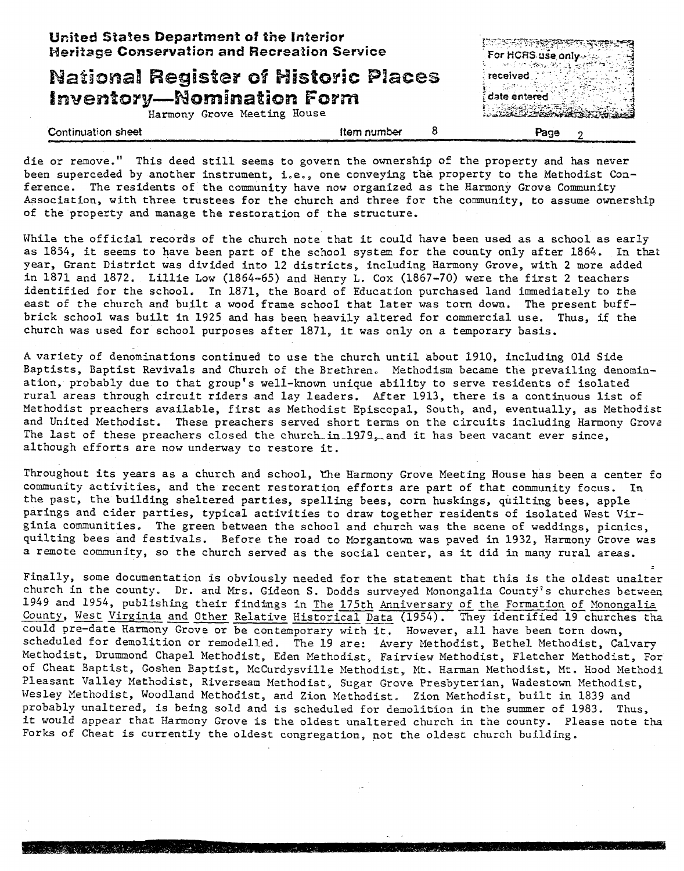| United States Department of the Interior<br><b>Heritage Conservation and Recreation Service</b>                |                         | For HCRS use only                                |
|----------------------------------------------------------------------------------------------------------------|-------------------------|--------------------------------------------------|
| <b>National Register of Historic Places</b><br><b>Inventory-Nomination Form</b><br>Harmony Grove Meeting House |                         | and the state of the<br>received<br>date entered |
| Continuation sheet                                                                                             | 8<br><b>Item number</b> | Page                                             |

die or remove." This deed still seems to govern the ownership of the property and has never been superceded by another instrument, i.e., one conveying the property to the Methodist Conference. The residents of the community have now organized as the Harmony Grove Community Association, with three trustees for the church and three for the community, to assume ownership of the property and manage the restoration of the structure.

While the official records of the church note that it could have been used as a school as early as 1854, it seems to have been part of the school system for the county only after 1864. In that year, Grant District was divided into 12 districts, including Harmony Grove, with 2 more added in 1871 and 1872. Lillie Low (1864-65) and Henry L. Cox (1867-70) were the first 2 teachers identified for the school, In 1871, the Board of Education purchased land immediately to the east of the church and built a wood frame school that later was torn down. The present buffbrick school was built in 1925 and has been heavily altered for commercial use. Thus, if the church was used for school purposes after 1871, it was only on a temporary basis.

**A** variety of denominations continued to use the church until about 1910, including Old Side Baptists, Baptist Revivals and Church of the Brethren. Methodism became the prevailing denomination, probably due to that group's well-known unique ability to serve residents of isolated rural areas through circuit riders and lay leaders. After 1913, there is a continuous list of Methodist preachers available, first as Methodist Episcopal, South, and, eventually, as Methodist and United Methodist. These preachers served short terms on the circuits including Harmony Grovz The last of these preachers closed the church in 1979, and it has been vacant ever since, although efforts are now underway to restore it.

Throughout its years as a church and school, the Harmony Grove Meeting House has been a center fo community activities, and the recent restoration efforts are part of that community focus. **In**  the past, the building sheltered parties, spelling bees, corn huskings, quilting bees, apple parings and cider parties, typical activities to draw together residents of isolated West Virginia communities. The green between the school and church was the scene of weddings, picnics, quilting bees and festivals. Before the road to Morgantown was paved in 1932, Harmony Grove was a remote community, so the church served as the social center, as it did in many rural areas.

Finally, some documentation is obviously needed for the statement that this is the oldest unalter church in the county. Dr. and Mrs. Gideon S. Dodds surveyed Monongalia County's churches between 1 remote community, so the church served as the social center, as it did in many rural areas.<br>
Finally, some documentation is obviously needed for the statement that this is the oldest unalter<br>
church in the county. Dr. an Finally, some documentation is obviously needed for the statement that this is the oldest unalter<br>church in the county. Dr. and Mrs. Gideon S. Dodds surveyed Monongalia County's churches between<br>1949 and 1954, publishing t County, West Virginia and Other Relative Historical Data (1954). They identified 19 churches tha<br>could pre-date Harmony Grove or be contemporary with it. However, all have been torn down, scheduled for demolition or remodelled. The 19 are: Avery Methodist, Bethel Methodist, Calvary Methodist, Drummond Chapel Methodist, Eden Methodist, Fairview Methodist, Fletcher Methodist, For of Cheat Baptist, Goshen Baptist, McCurdysville Methodist, Mt, **Harman** Methodist, Kt. Hood Methodi Pleasant Valley Methodist, Riverseam Methodist, Sugar Grove Presbyterian, Wadestown Methodist, Wesley Methodist, Woodland Methodist, and Zion Methodist, Zion Methodist, built in 1839 and probably unaltered, is being sold and is scheduled for demolition in the summer of 1983. Thus, it would appear that Harmony Grove is the oldest unaltered church in the county. Please note tha Forks of Cheat is currently the oldest congregation, not the oldest church building.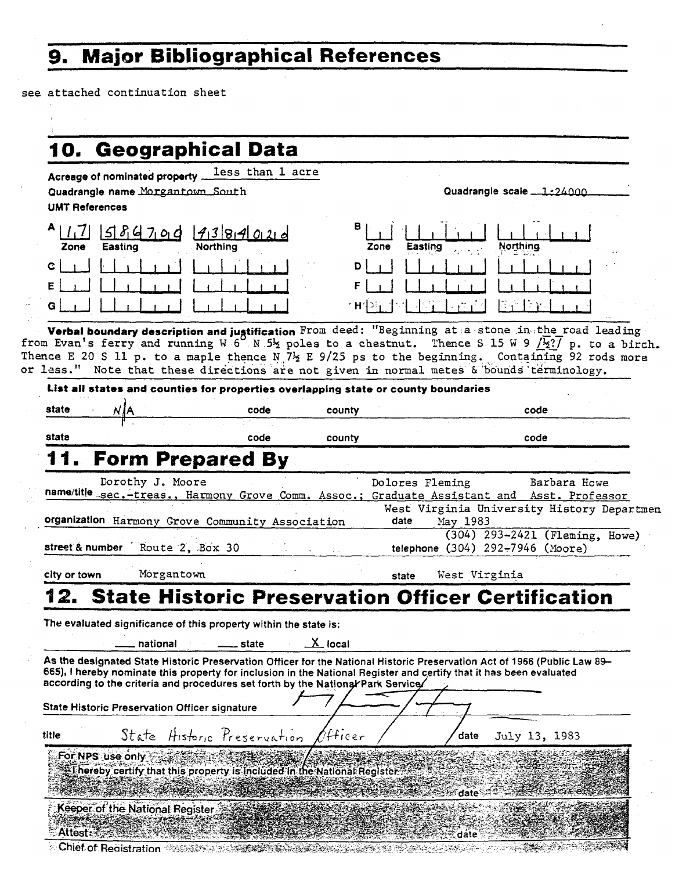# **9. Major Bibliographical References**

see attached continuation sheet

|                              | 10. Geographical Data                                                                                                                                                                                                                                                                                                                                                                                              |                                                          |           |                 |               |                                                                    |  |
|------------------------------|--------------------------------------------------------------------------------------------------------------------------------------------------------------------------------------------------------------------------------------------------------------------------------------------------------------------------------------------------------------------------------------------------------------------|----------------------------------------------------------|-----------|-----------------|---------------|--------------------------------------------------------------------|--|
|                              | Acreage of nominated property                                                                                                                                                                                                                                                                                                                                                                                      | less than 1 acre                                         |           |                 |               |                                                                    |  |
|                              | Quadrangle name Morgantown South                                                                                                                                                                                                                                                                                                                                                                                   |                                                          |           |                 |               | Quadrangle scale 1:24000                                           |  |
| <b>UMT References</b>        |                                                                                                                                                                                                                                                                                                                                                                                                                    |                                                          |           |                 |               |                                                                    |  |
|                              | 584700                                                                                                                                                                                                                                                                                                                                                                                                             | 4384020                                                  | в         |                 |               |                                                                    |  |
| Zone                         | Easting                                                                                                                                                                                                                                                                                                                                                                                                            | Northina                                                 |           | Easting<br>Zone |               | Northing                                                           |  |
| c                            |                                                                                                                                                                                                                                                                                                                                                                                                                    |                                                          |           |                 |               |                                                                    |  |
|                              |                                                                                                                                                                                                                                                                                                                                                                                                                    |                                                          |           |                 |               |                                                                    |  |
| G                            |                                                                                                                                                                                                                                                                                                                                                                                                                    |                                                          |           |                 |               | 手足<br>ેરેલ                                                         |  |
|                              |                                                                                                                                                                                                                                                                                                                                                                                                                    |                                                          |           |                 |               |                                                                    |  |
|                              | Verbal boundary description and justification From deed: "Beginning at a stone in the road leading<br>from Evan's ferry and running W 6 N 52 poles to a chestnut. Thence S 15 W 9 $/2$ ?/ p. to a birch.<br>Thence E 20 S ll p. to a maple thence N $7\frac{1}{2}$ E 9/25 ps to the beginning. Containing 92 rods more<br>or less." Note that these directions are not given in normal metes & bounds terminology. |                                                          |           |                 |               |                                                                    |  |
|                              | List all states and counties for properties overlapping state or county boundaries                                                                                                                                                                                                                                                                                                                                 |                                                          |           |                 |               |                                                                    |  |
| state                        |                                                                                                                                                                                                                                                                                                                                                                                                                    | code                                                     | county    |                 |               | code                                                               |  |
| state                        |                                                                                                                                                                                                                                                                                                                                                                                                                    | code                                                     | county    |                 |               | code                                                               |  |
|                              |                                                                                                                                                                                                                                                                                                                                                                                                                    | <b>Form Prepared By</b>                                  |           |                 |               |                                                                    |  |
|                              |                                                                                                                                                                                                                                                                                                                                                                                                                    |                                                          |           |                 |               |                                                                    |  |
|                              | Dorothy J. Moore                                                                                                                                                                                                                                                                                                                                                                                                   |                                                          |           |                 |               |                                                                    |  |
|                              |                                                                                                                                                                                                                                                                                                                                                                                                                    |                                                          |           | Dolores Fleming |               | Barbara Howe                                                       |  |
|                              | name/title sec.-treas., Harmony Grove Comm. Assoc.; Graduate Assistant and Asst. Professor                                                                                                                                                                                                                                                                                                                         |                                                          |           |                 |               | West Virginia University History Departmen                         |  |
|                              | organization Harmony Grove Community Association                                                                                                                                                                                                                                                                                                                                                                   |                                                          |           | date            | May 1983      |                                                                    |  |
|                              | street & number Route 2, Box 30                                                                                                                                                                                                                                                                                                                                                                                    |                                                          |           |                 |               | (304) 293-2421 (Fleming, Howe)<br>telephone (304) 292-7946 (Moore) |  |
|                              |                                                                                                                                                                                                                                                                                                                                                                                                                    |                                                          |           |                 |               |                                                                    |  |
|                              | Morgantown                                                                                                                                                                                                                                                                                                                                                                                                         |                                                          |           | state           | West Virginia |                                                                    |  |
|                              |                                                                                                                                                                                                                                                                                                                                                                                                                    | <b>State Historic Preservation Officer Certification</b> |           |                 |               |                                                                    |  |
|                              | The evaluated significance of this property within the state is:                                                                                                                                                                                                                                                                                                                                                   |                                                          |           |                 |               |                                                                    |  |
|                              |                                                                                                                                                                                                                                                                                                                                                                                                                    |                                                          |           |                 |               |                                                                    |  |
|                              | national                                                                                                                                                                                                                                                                                                                                                                                                           | state                                                    | $X$ local |                 |               |                                                                    |  |
|                              | As the designated State Historic Preservation Officer for the National Historic Preservation Act of 1966 (Public Law 89-<br>665), I hereby nominate this property for inclusion in the National Register and certify that it has been evaluated                                                                                                                                                                    |                                                          |           |                 |               |                                                                    |  |
|                              | according to the criteria and procedures set forth by the National Park Service/                                                                                                                                                                                                                                                                                                                                   |                                                          |           |                 |               |                                                                    |  |
|                              | <b>State Historic Preservation Officer signature</b>                                                                                                                                                                                                                                                                                                                                                               |                                                          |           |                 |               |                                                                    |  |
|                              |                                                                                                                                                                                                                                                                                                                                                                                                                    | State Historic Preservation                              | /fficer   |                 | date          | July 13, 1983                                                      |  |
|                              | For NPS use only                                                                                                                                                                                                                                                                                                                                                                                                   |                                                          |           |                 |               |                                                                    |  |
|                              | I hereby certify that this property is included in the National Register                                                                                                                                                                                                                                                                                                                                           |                                                          |           |                 |               |                                                                    |  |
|                              |                                                                                                                                                                                                                                                                                                                                                                                                                    |                                                          |           |                 | date          |                                                                    |  |
| city or town<br>4 Q<br>title | Keeper of the National Register                                                                                                                                                                                                                                                                                                                                                                                    |                                                          |           |                 |               |                                                                    |  |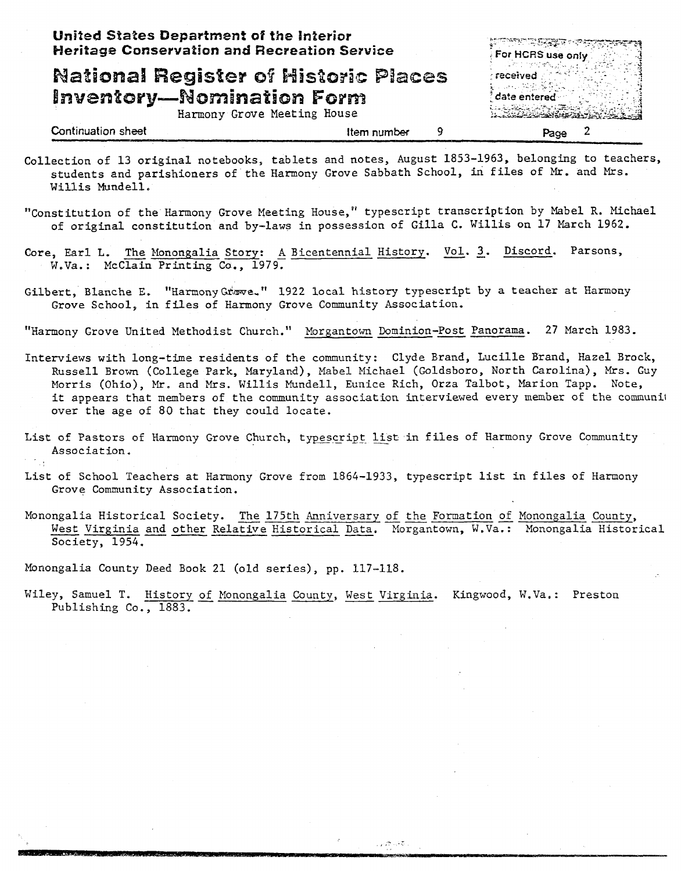| United States Department of the Interior<br><b>Heritage Conservation and Recreation Service</b>                                                                                                                                                                                                                                                                                                                                          |             | <b>DURANT RESERVE</b><br>For HCRS use only<br>received<br>date entered-<br>والمتحافظ والأستان والمتنازل |                          |  |
|------------------------------------------------------------------------------------------------------------------------------------------------------------------------------------------------------------------------------------------------------------------------------------------------------------------------------------------------------------------------------------------------------------------------------------------|-------------|---------------------------------------------------------------------------------------------------------|--------------------------|--|
| <b>National Register of Historic Places</b><br><b>Inventory-Nomination Form</b><br>Harmony Grove Meeting House                                                                                                                                                                                                                                                                                                                           |             |                                                                                                         |                          |  |
| <b>Continuation sheet</b>                                                                                                                                                                                                                                                                                                                                                                                                                | Item number | 9                                                                                                       | $\mathbf{2}$<br>Page     |  |
| Collection of 13 original notebooks, tablets and notes, August 1853-1963, belonging to teachers.<br>students and parishioners of the Harmony Grove Sabbath School, in files of Mr. and Mrs.<br>Willis Mundell.                                                                                                                                                                                                                           |             |                                                                                                         |                          |  |
| "Constitution of the Harmony Grove Meeting House," typescript transcription by Mabel R. Michael<br>of original constitution and by-laws in possession of Gilla C. Willis on 17 March 1962.                                                                                                                                                                                                                                               |             |                                                                                                         |                          |  |
| Core, Earl L. The Monongalia Story: A Bicentennial History. Vol. 3. Discord.<br>W.Va.: McClain Printing Co., 1979.                                                                                                                                                                                                                                                                                                                       |             |                                                                                                         | Parsons,                 |  |
| Gilbert, Blanche E. "Harmony Grove." 1922 local history typescript by a teacher at Harmony<br>Grove School, in files of Harmony Grove Community Association.                                                                                                                                                                                                                                                                             |             |                                                                                                         |                          |  |
| "Harmony Grove United Methodist Church." Morgantown Dominion-Post Panorama. 27 March 1983.                                                                                                                                                                                                                                                                                                                                               |             |                                                                                                         |                          |  |
| Interviews with long-time residents of the community: Clyde Brand, Lucille Brand, Hazel Brock,<br>Russell Brown (College Park, Maryland), Mabel Michael (Goldsboro, North Carolina), Mrs. Guy<br>Morris (Ohio), Mr. and Mrs. Willis Mundell, Eunice Rich, Orza Talbot, Marion Tapp. Note,<br>it appears that members of the community association interviewed every member of the communit<br>over the age of 80 that they could locate. |             |                                                                                                         |                          |  |
| List of Pastors of Harmony Grove Church, typescript list in files of Harmony Grove Community<br>Association.                                                                                                                                                                                                                                                                                                                             |             |                                                                                                         |                          |  |
| List of School Teachers at Harmony Grove from 1864-1933, typescript list in files of Harmony<br>Grove Community Association.                                                                                                                                                                                                                                                                                                             |             |                                                                                                         |                          |  |
| Monongalia Historical Society. The 175th Anniversary of the Formation of Monongalia County,<br>West Virginia and other Relative Historical Data. Morgantown, W.Va.: Monongalia Historical<br>Society, 1954.                                                                                                                                                                                                                              |             |                                                                                                         |                          |  |
| Monongalia County Deed Book 21 (old series), pp. 117-118.                                                                                                                                                                                                                                                                                                                                                                                |             |                                                                                                         |                          |  |
| Wiley, Samuel T. History of Monongalia County, West Virginia.<br>Publishing Co., 1883.                                                                                                                                                                                                                                                                                                                                                   |             |                                                                                                         | Kingwood, W.Va.: Preston |  |
|                                                                                                                                                                                                                                                                                                                                                                                                                                          |             |                                                                                                         |                          |  |
|                                                                                                                                                                                                                                                                                                                                                                                                                                          |             |                                                                                                         |                          |  |
|                                                                                                                                                                                                                                                                                                                                                                                                                                          |             |                                                                                                         |                          |  |
|                                                                                                                                                                                                                                                                                                                                                                                                                                          |             |                                                                                                         |                          |  |

 $\hat{\mathcal{A}}$ 

 $\hat{\mathcal{A}}$ 

 $\frac{1}{\sqrt{2}}$ 

ಸಾಕೃತಿಕ,

 $\ddot{\cdot}$ 

 $\frac{1}{\sqrt{2}}$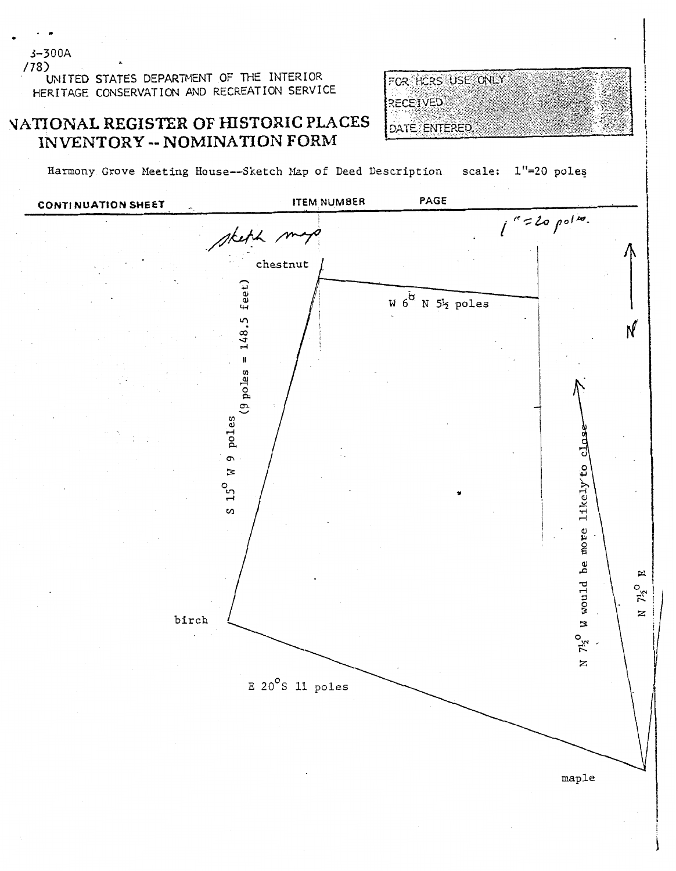$(78)$ UNITED STATES DEPARTMENT OF THE INTERIOR HERITAGE CONSERVATION AND RECREATION SERVICE

## NATIONAL REGISTER OF HISTORIC PLACES INVENTORY -- NOMINATION FORM



Harmony Grove Meeting House--Sketch Map of Deed Description scale: 1"=20 poles



 $3 - 300A$